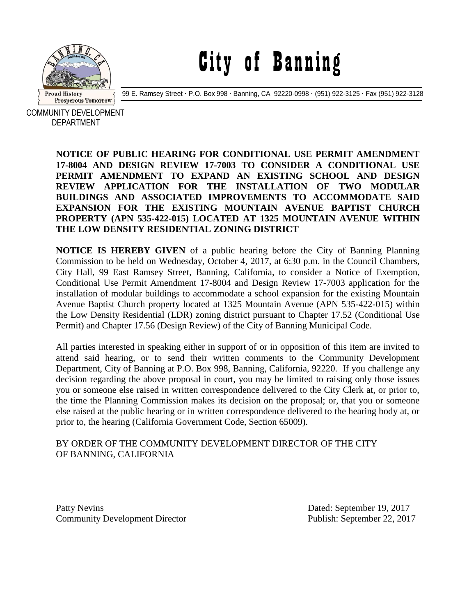

## City of Banning

99 E. Ramsey Street **·** P.O. Box 998 **·** Banning, CA 92220-0998 **·** (951) 922-3125 **·** Fax (951) 922-3128

COMMUNITY DEVELOPMENT DEPARTMENT

> **NOTICE OF PUBLIC HEARING FOR CONDITIONAL USE PERMIT AMENDMENT 17-8004 AND DESIGN REVIEW 17-7003 TO CONSIDER A CONDITIONAL USE PERMIT AMENDMENT TO EXPAND AN EXISTING SCHOOL AND DESIGN REVIEW APPLICATION FOR THE INSTALLATION OF TWO MODULAR BUILDINGS AND ASSOCIATED IMPROVEMENTS TO ACCOMMODATE SAID EXPANSION FOR THE EXISTING MOUNTAIN AVENUE BAPTIST CHURCH PROPERTY (APN 535-422-015) LOCATED AT 1325 MOUNTAIN AVENUE WITHIN THE LOW DENSITY RESIDENTIAL ZONING DISTRICT**

> **NOTICE IS HEREBY GIVEN** of a public hearing before the City of Banning Planning Commission to be held on Wednesday, October 4, 2017, at 6:30 p.m. in the Council Chambers, City Hall, 99 East Ramsey Street, Banning, California, to consider a Notice of Exemption, Conditional Use Permit Amendment 17-8004 and Design Review 17-7003 application for the installation of modular buildings to accommodate a school expansion for the existing Mountain Avenue Baptist Church property located at 1325 Mountain Avenue (APN 535-422-015) within the Low Density Residential (LDR) zoning district pursuant to Chapter 17.52 (Conditional Use Permit) and Chapter 17.56 (Design Review) of the City of Banning Municipal Code.

> All parties interested in speaking either in support of or in opposition of this item are invited to attend said hearing, or to send their written comments to the Community Development Department, City of Banning at P.O. Box 998, Banning, California, 92220. If you challenge any decision regarding the above proposal in court, you may be limited to raising only those issues you or someone else raised in written correspondence delivered to the City Clerk at, or prior to, the time the Planning Commission makes its decision on the proposal; or, that you or someone else raised at the public hearing or in written correspondence delivered to the hearing body at, or prior to, the hearing (California Government Code, Section 65009).

## BY ORDER OF THE COMMUNITY DEVELOPMENT DIRECTOR OF THE CITY OF BANNING, CALIFORNIA

Patty Nevins Dated: September 19, 2017 Community Development Director Publish: September 22, 2017